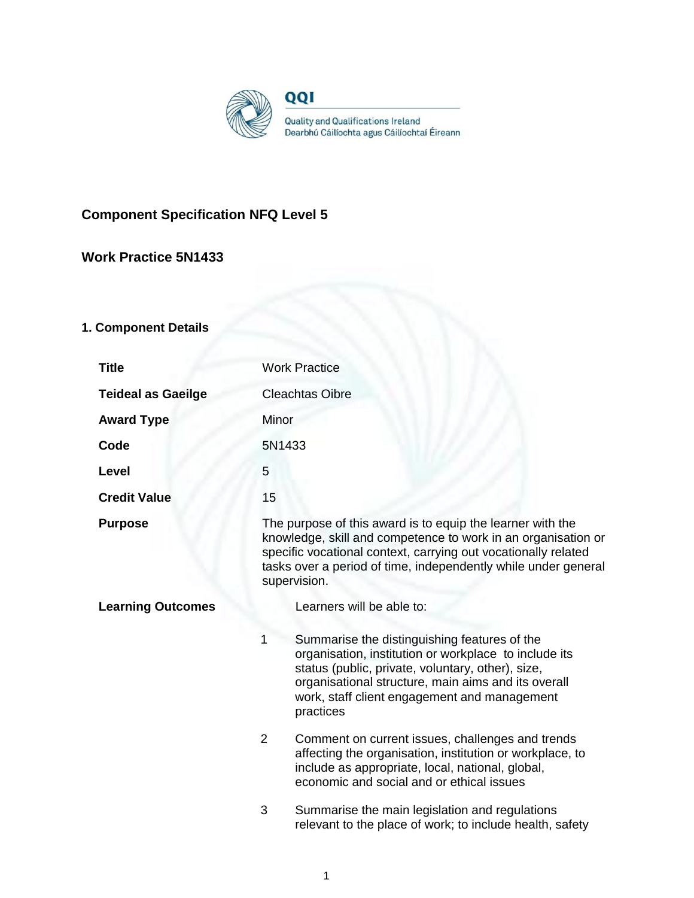

# **Component Specification NFQ Level 5**

## **Work Practice 5N1433**

# **1. Component Details**

| <b>Title</b>              | <b>Work Practice</b>                                                                                                                                                                                                                                                                |  |
|---------------------------|-------------------------------------------------------------------------------------------------------------------------------------------------------------------------------------------------------------------------------------------------------------------------------------|--|
| <b>Teideal as Gaeilge</b> | <b>Cleachtas Oibre</b>                                                                                                                                                                                                                                                              |  |
| <b>Award Type</b>         | Minor                                                                                                                                                                                                                                                                               |  |
| Code                      | 5N1433                                                                                                                                                                                                                                                                              |  |
| Level                     | 5                                                                                                                                                                                                                                                                                   |  |
| <b>Credit Value</b>       | 15                                                                                                                                                                                                                                                                                  |  |
| <b>Purpose</b>            | The purpose of this award is to equip the learner with the<br>knowledge, skill and competence to work in an organisation or<br>specific vocational context, carrying out vocationally related<br>tasks over a period of time, independently while under general<br>supervision.     |  |
| <b>Learning Outcomes</b>  | Learners will be able to:                                                                                                                                                                                                                                                           |  |
|                           | 1<br>Summarise the distinguishing features of the<br>organisation, institution or workplace to include its<br>status (public, private, voluntary, other), size,<br>organisational structure, main aims and its overall<br>work, staff client engagement and management<br>practices |  |
|                           | $\overline{2}$<br>Comment on current issues, challenges and trends<br>affecting the organisation, institution or workplace, to<br>include as appropriate, local, national, global,<br>economic and social and or ethical issues                                                     |  |
|                           | 3<br>Summarise the main legislation and regulations<br>relevant to the place of work; to include health, safety                                                                                                                                                                     |  |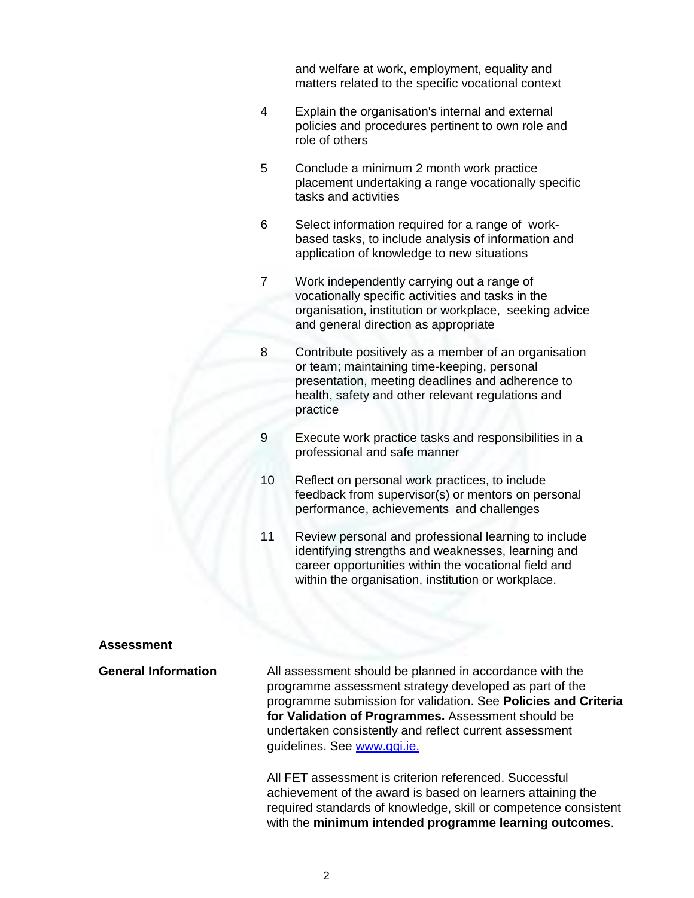and welfare at work, employment, equality and matters related to the specific vocational context

- 4 Explain the organisation's internal and external policies and procedures pertinent to own role and role of others
- 5 Conclude a minimum 2 month work practice placement undertaking a range vocationally specific tasks and activities
- 6 Select information required for a range of workbased tasks, to include analysis of information and application of knowledge to new situations
- 7 Work independently carrying out a range of vocationally specific activities and tasks in the organisation, institution or workplace, seeking advice and general direction as appropriate
- 8 Contribute positively as a member of an organisation or team; maintaining time-keeping, personal presentation, meeting deadlines and adherence to health, safety and other relevant regulations and practice
- 9 Execute work practice tasks and responsibilities in a professional and safe manner
- 10 Reflect on personal work practices, to include feedback from supervisor(s) or mentors on personal performance, achievements and challenges
- 11 Review personal and professional learning to include identifying strengths and weaknesses, learning and career opportunities within the vocational field and within the organisation, institution or workplace.

#### **Assessment**

**General Information** All assessment should be planned in accordance with the programme assessment strategy developed as part of the programme submission for validation. See **Policies and Criteria for Validation of Programmes.** Assessment should be undertaken consistently and reflect current assessment quidelines. See www.qqi.je.

> All FET assessment is criterion referenced. Successful achievement of the award is based on learners attaining the required standards of knowledge, skill or competence consistent with the **minimum intended programme learning outcomes**.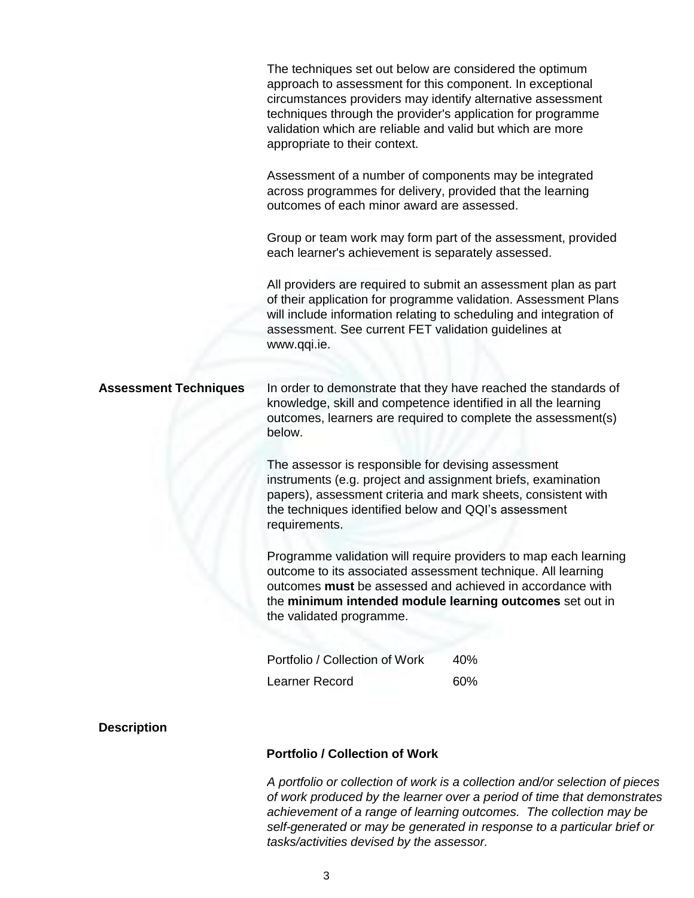|                              | The techniques set out below are considered the optimum<br>approach to assessment for this component. In exceptional<br>circumstances providers may identify alternative assessment<br>techniques through the provider's application for programme<br>validation which are reliable and valid but which are more<br>appropriate to their context. |                                                                  |
|------------------------------|---------------------------------------------------------------------------------------------------------------------------------------------------------------------------------------------------------------------------------------------------------------------------------------------------------------------------------------------------|------------------------------------------------------------------|
|                              | Assessment of a number of components may be integrated<br>across programmes for delivery, provided that the learning<br>outcomes of each minor award are assessed.                                                                                                                                                                                |                                                                  |
|                              | Group or team work may form part of the assessment, provided<br>each learner's achievement is separately assessed.                                                                                                                                                                                                                                |                                                                  |
|                              | All providers are required to submit an assessment plan as part<br>will include information relating to scheduling and integration of<br>assessment. See current FET validation guidelines at<br>www.qqi.ie.                                                                                                                                      | of their application for programme validation. Assessment Plans  |
| <b>Assessment Techniques</b> | knowledge, skill and competence identified in all the learning<br>outcomes, learners are required to complete the assessment(s)<br>below.                                                                                                                                                                                                         | In order to demonstrate that they have reached the standards of  |
|                              | The assessor is responsible for devising assessment<br>instruments (e.g. project and assignment briefs, examination<br>papers), assessment criteria and mark sheets, consistent with<br>the techniques identified below and QQI's assessment<br>requirements.                                                                                     |                                                                  |
|                              | outcome to its associated assessment technique. All learning<br>outcomes must be assessed and achieved in accordance with<br>the minimum intended module learning outcomes set out in<br>the validated programme.                                                                                                                                 | Programme validation will require providers to map each learning |
|                              | Portfolio / Collection of Work                                                                                                                                                                                                                                                                                                                    | 40%                                                              |
|                              | Learner Record                                                                                                                                                                                                                                                                                                                                    | 60%                                                              |
| <b>Description</b>           |                                                                                                                                                                                                                                                                                                                                                   |                                                                  |

### **Portfolio / Collection of Work**

*A portfolio or collection of work is a collection and/or selection of pieces of work produced by the learner over a period of time that demonstrates achievement of a range of learning outcomes. The collection may be self-generated or may be generated in response to a particular brief or tasks/activities devised by the assessor.*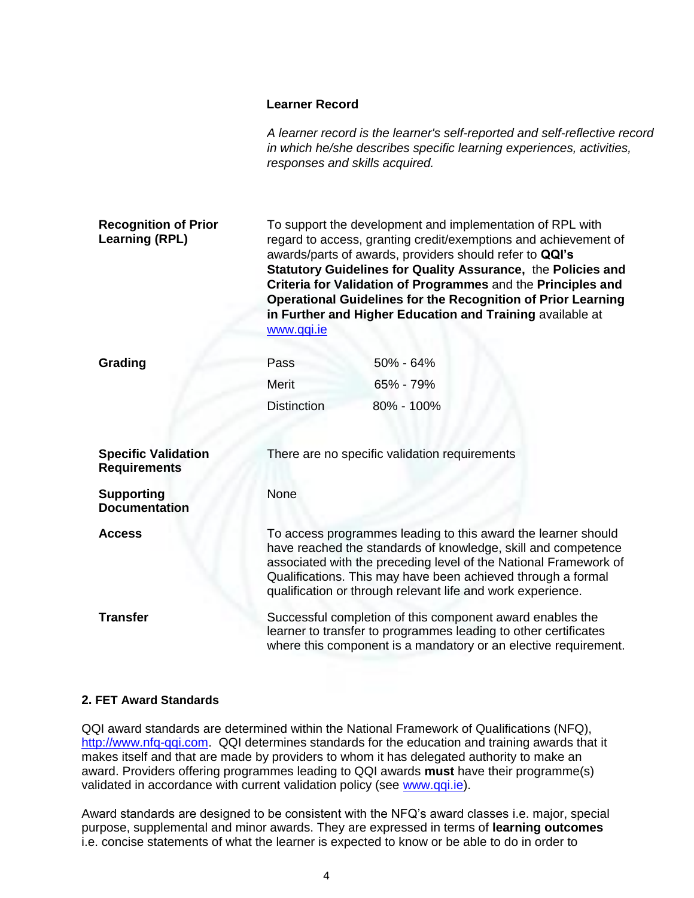#### **Learner Record**

|                                                      | responses and skills acquired.                                                                                                                                                                                                                                                                                                    | A learner record is the learner's self-reported and self-reflective record<br>in which he/she describes specific learning experiences, activities,                                                                                                                                                                                                                                                                                                          |
|------------------------------------------------------|-----------------------------------------------------------------------------------------------------------------------------------------------------------------------------------------------------------------------------------------------------------------------------------------------------------------------------------|-------------------------------------------------------------------------------------------------------------------------------------------------------------------------------------------------------------------------------------------------------------------------------------------------------------------------------------------------------------------------------------------------------------------------------------------------------------|
| <b>Recognition of Prior</b><br><b>Learning (RPL)</b> | www.qqi.ie                                                                                                                                                                                                                                                                                                                        | To support the development and implementation of RPL with<br>regard to access, granting credit/exemptions and achievement of<br>awards/parts of awards, providers should refer to QQI's<br>Statutory Guidelines for Quality Assurance, the Policies and<br>Criteria for Validation of Programmes and the Principles and<br><b>Operational Guidelines for the Recognition of Prior Learning</b><br>in Further and Higher Education and Training available at |
| Grading                                              | Pass                                                                                                                                                                                                                                                                                                                              | 50% - 64%                                                                                                                                                                                                                                                                                                                                                                                                                                                   |
|                                                      | Merit                                                                                                                                                                                                                                                                                                                             | 65% - 79%                                                                                                                                                                                                                                                                                                                                                                                                                                                   |
|                                                      | <b>Distinction</b>                                                                                                                                                                                                                                                                                                                | 80% - 100%                                                                                                                                                                                                                                                                                                                                                                                                                                                  |
| <b>Specific Validation</b><br><b>Requirements</b>    |                                                                                                                                                                                                                                                                                                                                   | There are no specific validation requirements                                                                                                                                                                                                                                                                                                                                                                                                               |
| <b>Supporting</b><br><b>Documentation</b>            | None                                                                                                                                                                                                                                                                                                                              |                                                                                                                                                                                                                                                                                                                                                                                                                                                             |
| <b>Access</b>                                        | To access programmes leading to this award the learner should<br>have reached the standards of knowledge, skill and competence<br>associated with the preceding level of the National Framework of<br>Qualifications. This may have been achieved through a formal<br>qualification or through relevant life and work experience. |                                                                                                                                                                                                                                                                                                                                                                                                                                                             |
| <b>Transfer</b>                                      | Successful completion of this component award enables the<br>learner to transfer to programmes leading to other certificates<br>where this component is a mandatory or an elective requirement.                                                                                                                                   |                                                                                                                                                                                                                                                                                                                                                                                                                                                             |

### **2. FET Award Standards**

QQI award standards are determined within the National Framework of Qualifications (NFQ), [http://www.nfq-qqi.com.](http://www.nfq-qqi.com/) QQI determines standards for the education and training awards that it makes itself and that are made by providers to whom it has delegated authority to make an award. Providers offering programmes leading to QQI awards **must** have their programme(s) validated in accordance with current validation policy (see [www.qqi.ie\)](http://www.qqi.ie/).

Award standards are designed to be consistent with the NFQ's award classes i.e. major, special purpose, supplemental and minor awards. They are expressed in terms of **learning outcomes**  i.e. concise statements of what the learner is expected to know or be able to do in order to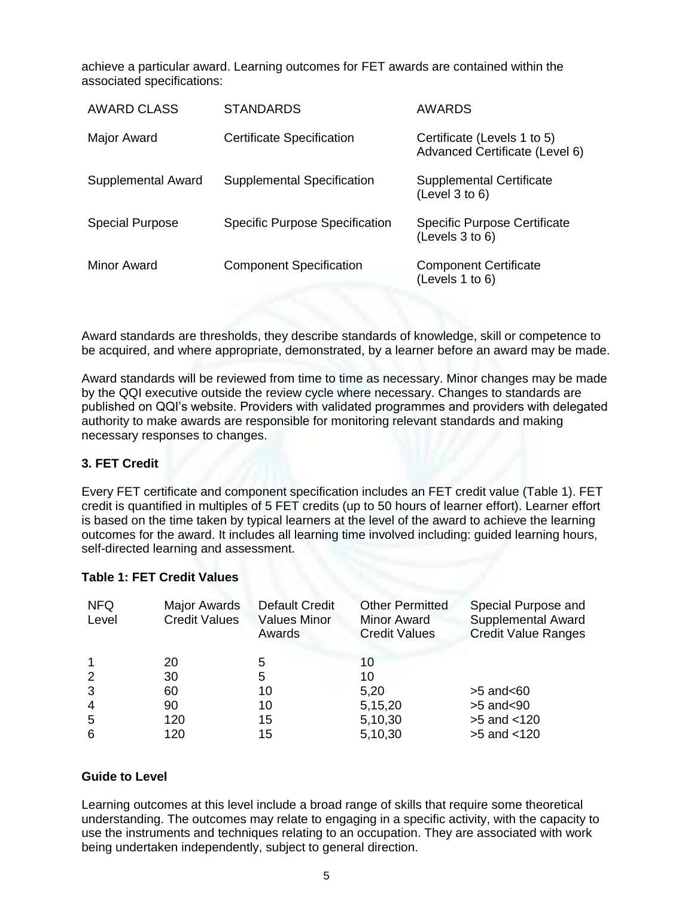achieve a particular award. Learning outcomes for FET awards are contained within the associated specifications:

| <b>AWARD CLASS</b>     | <b>STANDARDS</b>                      | AWARDS                                                        |
|------------------------|---------------------------------------|---------------------------------------------------------------|
| Major Award            | <b>Certificate Specification</b>      | Certificate (Levels 1 to 5)<br>Advanced Certificate (Level 6) |
| Supplemental Award     | Supplemental Specification            | <b>Supplemental Certificate</b><br>(Level 3 to 6)             |
| <b>Special Purpose</b> | <b>Specific Purpose Specification</b> | <b>Specific Purpose Certificate</b><br>(Levels 3 to 6)        |
| Minor Award            | <b>Component Specification</b>        | <b>Component Certificate</b><br>(Levels 1 to 6)               |

Award standards are thresholds, they describe standards of knowledge, skill or competence to be acquired, and where appropriate, demonstrated, by a learner before an award may be made.

Award standards will be reviewed from time to time as necessary. Minor changes may be made by the QQI executive outside the review cycle where necessary. Changes to standards are published on QQI's website. Providers with validated programmes and providers with delegated authority to make awards are responsible for monitoring relevant standards and making necessary responses to changes.

#### **3. FET Credit**

Every FET certificate and component specification includes an FET credit value (Table 1). FET credit is quantified in multiples of 5 FET credits (up to 50 hours of learner effort). Learner effort is based on the time taken by typical learners at the level of the award to achieve the learning outcomes for the award. It includes all learning time involved including: guided learning hours, self-directed learning and assessment.

#### **Table 1: FET Credit Values**

| <b>NFQ</b><br>Level | Major Awards<br><b>Credit Values</b> | <b>Default Credit</b><br><b>Values Minor</b><br>Awards | <b>Other Permitted</b><br><b>Minor Award</b><br><b>Credit Values</b> | Special Purpose and<br><b>Supplemental Award</b><br><b>Credit Value Ranges</b> |
|---------------------|--------------------------------------|--------------------------------------------------------|----------------------------------------------------------------------|--------------------------------------------------------------------------------|
|                     | 20                                   | 5                                                      | 10                                                                   |                                                                                |
| -2                  | 30                                   | 5                                                      | 10                                                                   |                                                                                |
| -3                  | 60                                   | 10                                                     | 5,20                                                                 | $>5$ and $< 60$                                                                |
| $\overline{4}$      | 90                                   | 10                                                     | 5,15,20                                                              | $>5$ and $90$                                                                  |
| 5                   | 120                                  | 15                                                     | 5,10,30                                                              | $>5$ and $< 120$                                                               |
| 6                   | 120                                  | 15                                                     | 5,10,30                                                              | $>5$ and $< 120$                                                               |

#### **Guide to Level**

Learning outcomes at this level include a broad range of skills that require some theoretical understanding. The outcomes may relate to engaging in a specific activity, with the capacity to use the instruments and techniques relating to an occupation. They are associated with work being undertaken independently, subject to general direction.